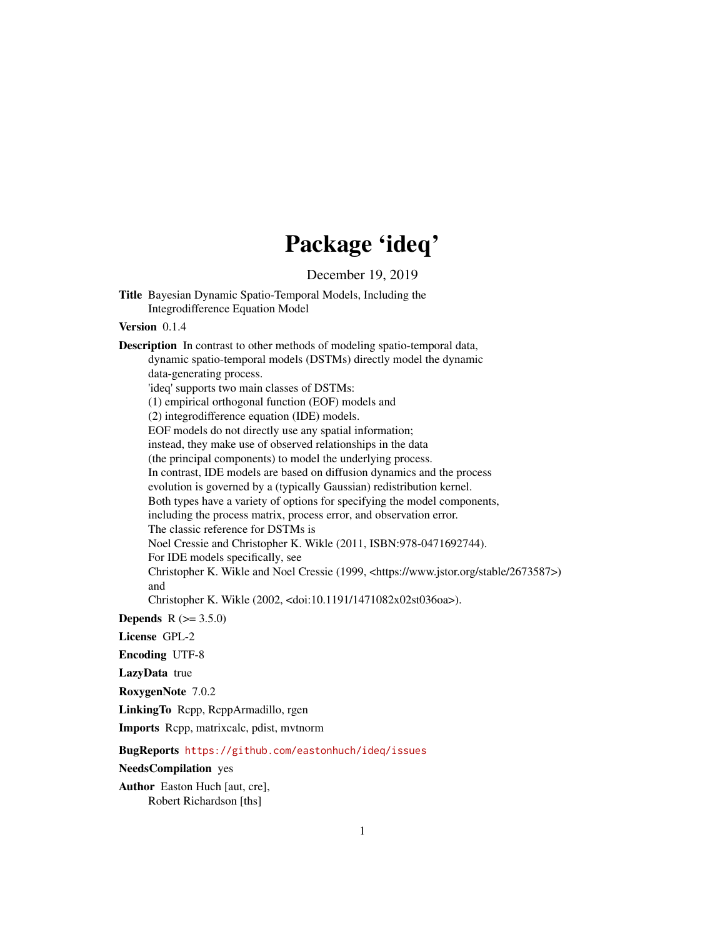## Package 'ideq'

December 19, 2019

Title Bayesian Dynamic Spatio-Temporal Models, Including the Integrodifference Equation Model

## Version 0.1.4

Description In contrast to other methods of modeling spatio-temporal data, dynamic spatio-temporal models (DSTMs) directly model the dynamic data-generating process. 'ideq' supports two main classes of DSTMs: (1) empirical orthogonal function (EOF) models and (2) integrodifference equation (IDE) models. EOF models do not directly use any spatial information; instead, they make use of observed relationships in the data (the principal components) to model the underlying process. In contrast, IDE models are based on diffusion dynamics and the process evolution is governed by a (typically Gaussian) redistribution kernel. Both types have a variety of options for specifying the model components, including the process matrix, process error, and observation error. The classic reference for DSTMs is Noel Cressie and Christopher K. Wikle (2011, ISBN:978-0471692744). For IDE models specifically, see Christopher K. Wikle and Noel Cressie (1999, <https://www.jstor.org/stable/2673587>) and Christopher K. Wikle (2002, <doi:10.1191/1471082x02st036oa>).

**Depends** R  $(>= 3.5.0)$ 

License GPL-2

Encoding UTF-8

LazyData true

RoxygenNote 7.0.2

LinkingTo Rcpp, RcppArmadillo, rgen

Imports Rcpp, matrixcalc, pdist, mvtnorm

BugReports <https://github.com/eastonhuch/ideq/issues>

NeedsCompilation yes

Author Easton Huch [aut, cre], Robert Richardson [ths]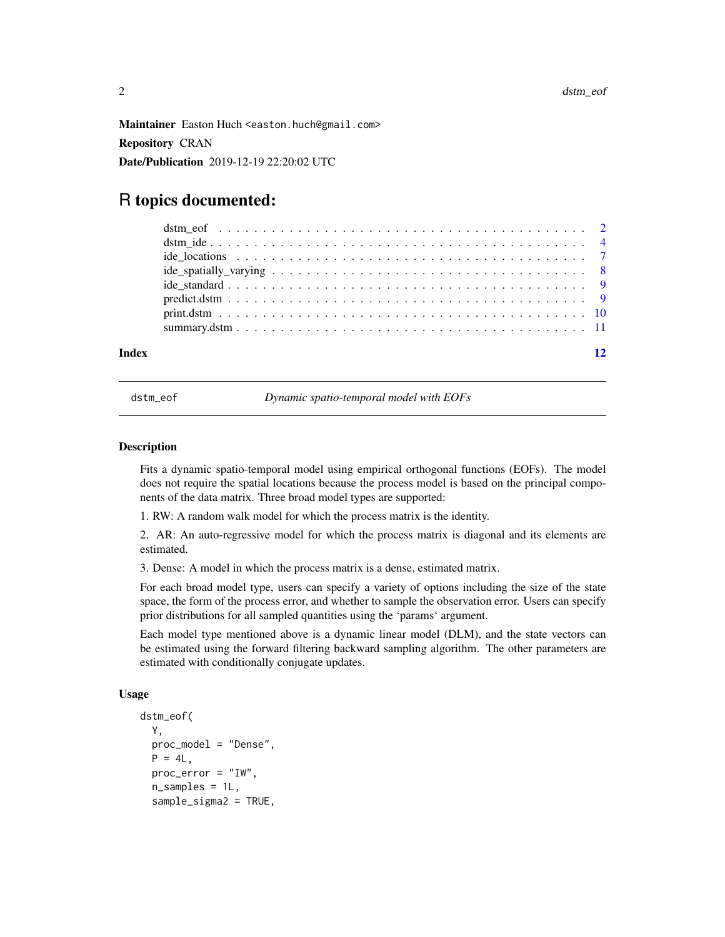<span id="page-1-0"></span>Maintainer Easton Huch <easton.huch@gmail.com> Repository CRAN

Date/Publication 2019-12-19 22:20:02 UTC

## R topics documented:

#### **Index** [12](#page-11-0)

dstm\_eof *Dynamic spatio-temporal model with EOFs*

#### Description

Fits a dynamic spatio-temporal model using empirical orthogonal functions (EOFs). The model does not require the spatial locations because the process model is based on the principal components of the data matrix. Three broad model types are supported:

1. RW: A random walk model for which the process matrix is the identity.

2. AR: An auto-regressive model for which the process matrix is diagonal and its elements are estimated.

3. Dense: A model in which the process matrix is a dense, estimated matrix.

For each broad model type, users can specify a variety of options including the size of the state space, the form of the process error, and whether to sample the observation error. Users can specify prior distributions for all sampled quantities using the 'params' argument.

Each model type mentioned above is a dynamic linear model (DLM), and the state vectors can be estimated using the forward filtering backward sampling algorithm. The other parameters are estimated with conditionally conjugate updates.

#### Usage

```
dstm_eof(
  Y,
 proc_model = "Dense",
 P = 4L,
 proc_error = "IW",
  n_samples = 1L,
  sample_sigma2 = TRUE,
```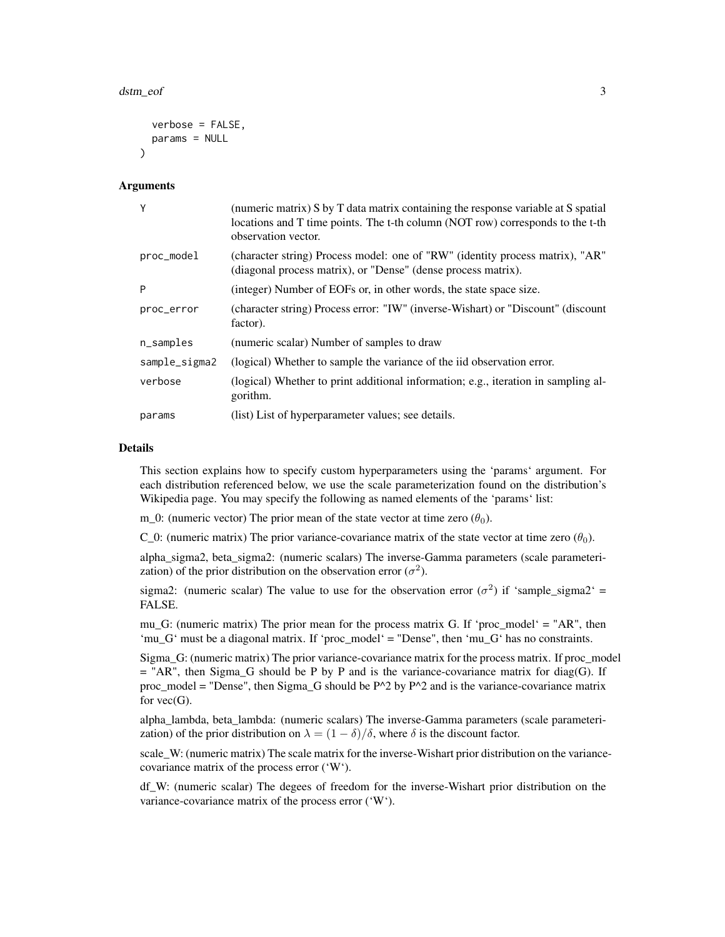```
verbose = FALSE,
 params = NULL
)
```
#### **Arguments**

| Y             | (numeric matrix) S by T data matrix containing the response variable at S spatial<br>locations and T time points. The t-th column (NOT row) corresponds to the t-th<br>observation vector. |
|---------------|--------------------------------------------------------------------------------------------------------------------------------------------------------------------------------------------|
| proc_model    | (character string) Process model: one of "RW" (identity process matrix), "AR"<br>(diagonal process matrix), or "Dense" (dense process matrix).                                             |
| P             | (integer) Number of EOFs or, in other words, the state space size.                                                                                                                         |
| proc_error    | (character string) Process error: "IW" (inverse-Wishart) or "Discount" (discount<br>factor).                                                                                               |
| n_samples     | (numeric scalar) Number of samples to draw                                                                                                                                                 |
| sample_sigma2 | (logical) Whether to sample the variance of the iid observation error.                                                                                                                     |
| verbose       | (logical) Whether to print additional information; e.g., iteration in sampling al-<br>gorithm.                                                                                             |
| params        | (list) List of hyperparameter values; see details.                                                                                                                                         |

#### Details

This section explains how to specify custom hyperparameters using the 'params' argument. For each distribution referenced below, we use the scale parameterization found on the distribution's Wikipedia page. You may specify the following as named elements of the 'params' list:

m 0: (numeric vector) The prior mean of the state vector at time zero  $(\theta_0)$ .

C 0: (numeric matrix) The prior variance-covariance matrix of the state vector at time zero  $(\theta_0)$ .

alpha\_sigma2, beta\_sigma2: (numeric scalars) The inverse-Gamma parameters (scale parameterization) of the prior distribution on the observation error  $(\sigma^2)$ .

sigma2: (numeric scalar) The value to use for the observation error  $(\sigma^2)$  if 'sample\_sigma2' = FALSE.

mu G: (numeric matrix) The prior mean for the process matrix G. If 'proc\_model' = "AR", then 'mu\_G' must be a diagonal matrix. If 'proc\_model' = "Dense", then 'mu\_G' has no constraints.

Sigma\_G: (numeric matrix) The prior variance-covariance matrix for the process matrix. If proc\_model  $=$  "AR", then Sigma\_G should be P by P and is the variance-covariance matrix for diag(G). If proc\_model = "Dense", then Sigma\_G should be  $P^2$  by  $P^2$  and is the variance-covariance matrix for  $vec(G)$ .

alpha\_lambda, beta\_lambda: (numeric scalars) The inverse-Gamma parameters (scale parameterization) of the prior distribution on  $\lambda = (1 - \delta)/\delta$ , where  $\delta$  is the discount factor.

scale\_W: (numeric matrix) The scale matrix for the inverse-Wishart prior distribution on the variancecovariance matrix of the process error ('W').

df\_W: (numeric scalar) The degees of freedom for the inverse-Wishart prior distribution on the variance-covariance matrix of the process error ('W').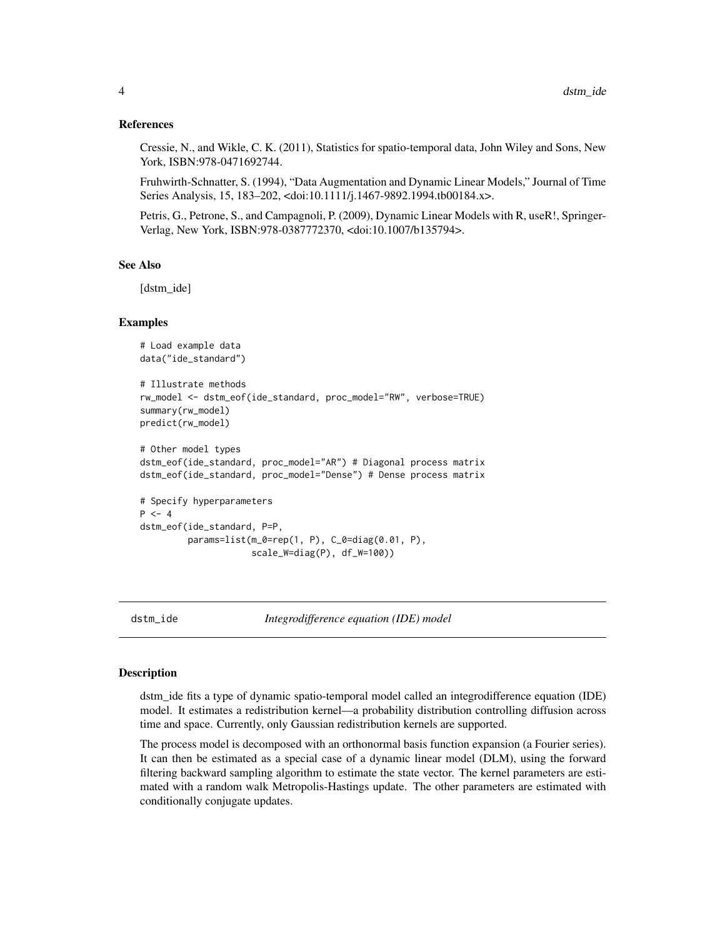#### <span id="page-3-0"></span>References

Cressie, N., and Wikle, C. K. (2011), Statistics for spatio-temporal data, John Wiley and Sons, New York, ISBN:978-0471692744.

Fruhwirth-Schnatter, S. (1994), "Data Augmentation and Dynamic Linear Models," Journal of Time Series Analysis, 15, 183–202, <doi:10.1111/j.1467-9892.1994.tb00184.x>.

Petris, G., Petrone, S., and Campagnoli, P. (2009), Dynamic Linear Models with R, useR!, Springer-Verlag, New York, ISBN:978-0387772370, <doi:10.1007/b135794>.

#### See Also

[dstm\_ide]

#### Examples

```
# Load example data
data("ide_standard")
# Illustrate methods
rw_model <- dstm_eof(ide_standard, proc_model="RW", verbose=TRUE)
summary(rw_model)
predict(rw_model)
# Other model types
dstm_eof(ide_standard, proc_model="AR") # Diagonal process matrix
dstm_eof(ide_standard, proc_model="Dense") # Dense process matrix
# Specify hyperparameters
P < -4dstm_eof(ide_standard, P=P,
         params=list(m_0=rep(1, P), C_0=diag(0.01, P),
                     scale_W=diag(P), df_W=100))
```
dstm\_ide *Integrodifference equation (IDE) model*

#### Description

dstm\_ide fits a type of dynamic spatio-temporal model called an integrodifference equation (IDE) model. It estimates a redistribution kernel—a probability distribution controlling diffusion across time and space. Currently, only Gaussian redistribution kernels are supported.

The process model is decomposed with an orthonormal basis function expansion (a Fourier series). It can then be estimated as a special case of a dynamic linear model (DLM), using the forward filtering backward sampling algorithm to estimate the state vector. The kernel parameters are estimated with a random walk Metropolis-Hastings update. The other parameters are estimated with conditionally conjugate updates.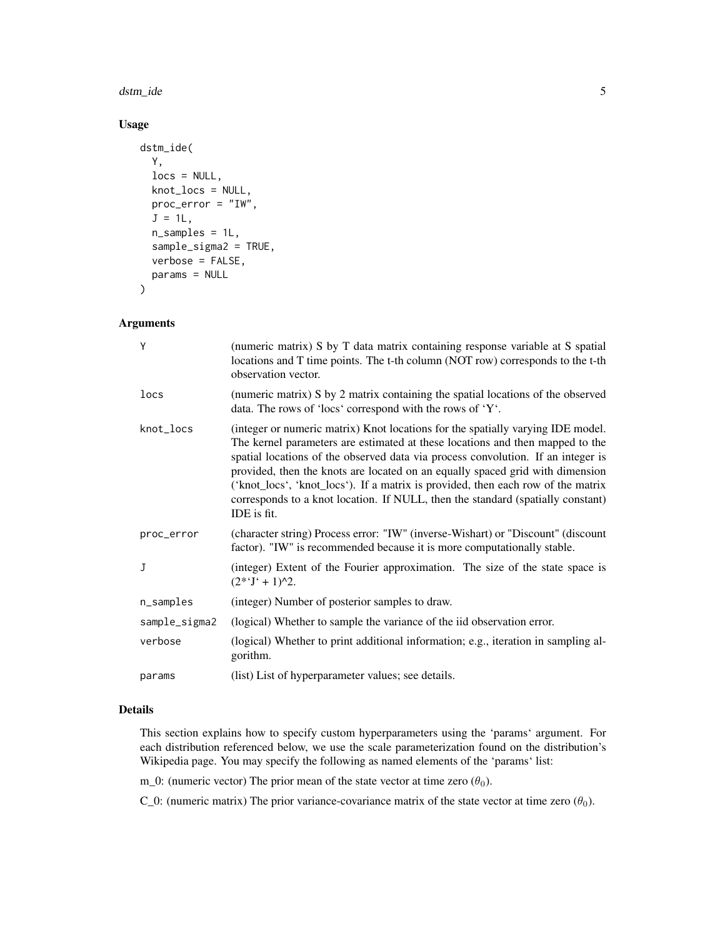#### dstm\_ide 5

## Usage

```
dstm_ide(
  Y,
 locs = NULL,
 knot_locs = NULL,
 proc_error = "IW",
  J = 1L,
  n_samples = 1L,
  sample_sigma2 = TRUE,
  verbose = FALSE,
  params = NULL
)
```
#### Arguments

| Υ             | (numeric matrix) S by T data matrix containing response variable at S spatial<br>locations and T time points. The t-th column (NOT row) corresponds to the t-th<br>observation vector.                                                                                                                                                                                                                                                                                                                                      |
|---------------|-----------------------------------------------------------------------------------------------------------------------------------------------------------------------------------------------------------------------------------------------------------------------------------------------------------------------------------------------------------------------------------------------------------------------------------------------------------------------------------------------------------------------------|
| locs          | (numeric matrix) S by 2 matrix containing the spatial locations of the observed<br>data. The rows of 'locs' correspond with the rows of 'Y'.                                                                                                                                                                                                                                                                                                                                                                                |
| knot_locs     | (integer or numeric matrix) Knot locations for the spatially varying IDE model.<br>The kernel parameters are estimated at these locations and then mapped to the<br>spatial locations of the observed data via process convolution. If an integer is<br>provided, then the knots are located on an equally spaced grid with dimension<br>('knot_locs', 'knot_locs'). If a matrix is provided, then each row of the matrix<br>corresponds to a knot location. If NULL, then the standard (spatially constant)<br>IDE is fit. |
| proc_error    | (character string) Process error: "IW" (inverse-Wishart) or "Discount" (discount<br>factor). "IW" is recommended because it is more computationally stable.                                                                                                                                                                                                                                                                                                                                                                 |
| J             | (integer) Extent of the Fourier approximation. The size of the state space is<br>$(2^*T + 1)^{2}.$                                                                                                                                                                                                                                                                                                                                                                                                                          |
| n_samples     | (integer) Number of posterior samples to draw.                                                                                                                                                                                                                                                                                                                                                                                                                                                                              |
| sample_sigma2 | (logical) Whether to sample the variance of the iid observation error.                                                                                                                                                                                                                                                                                                                                                                                                                                                      |
| verbose       | (logical) Whether to print additional information; e.g., iteration in sampling al-<br>gorithm.                                                                                                                                                                                                                                                                                                                                                                                                                              |
| params        | (list) List of hyperparameter values; see details.                                                                                                                                                                                                                                                                                                                                                                                                                                                                          |

## Details

This section explains how to specify custom hyperparameters using the 'params' argument. For each distribution referenced below, we use the scale parameterization found on the distribution's Wikipedia page. You may specify the following as named elements of the 'params' list:

m\_0: (numeric vector) The prior mean of the state vector at time zero  $(\theta_0)$ .

C\_0: (numeric matrix) The prior variance-covariance matrix of the state vector at time zero  $(\theta_0)$ .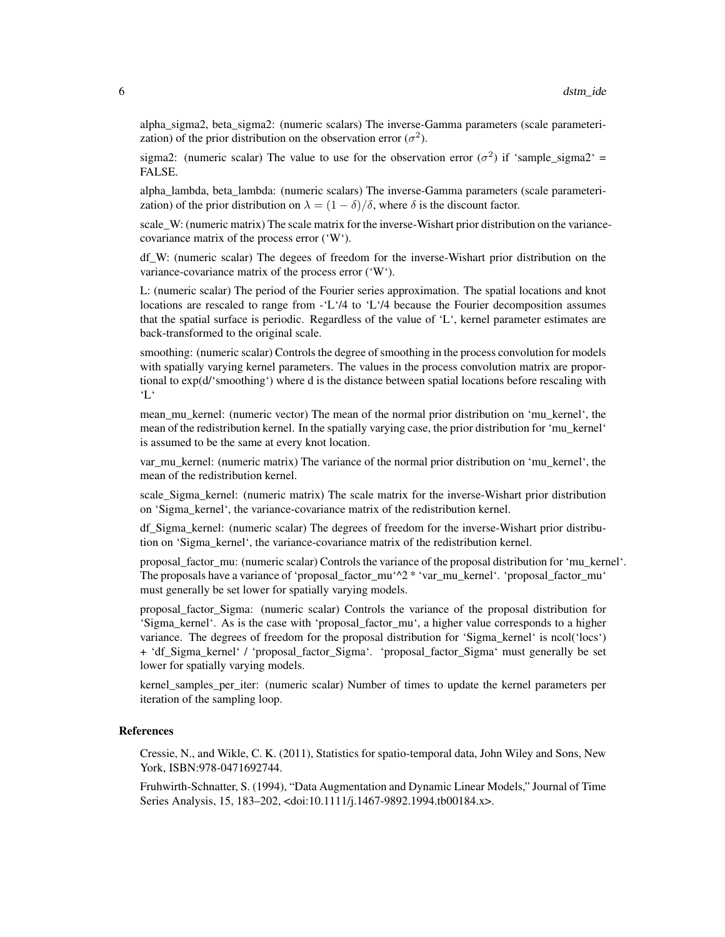alpha\_sigma2, beta\_sigma2: (numeric scalars) The inverse-Gamma parameters (scale parameterization) of the prior distribution on the observation error  $(\sigma^2)$ .

sigma2: (numeric scalar) The value to use for the observation error  $(\sigma^2)$  if 'sample\_sigma2' = FALSE.

alpha\_lambda, beta\_lambda: (numeric scalars) The inverse-Gamma parameters (scale parameterization) of the prior distribution on  $\lambda = (1 - \delta)/\delta$ , where  $\delta$  is the discount factor.

scale W: (numeric matrix) The scale matrix for the inverse-Wishart prior distribution on the variancecovariance matrix of the process error ('W').

df\_W: (numeric scalar) The degees of freedom for the inverse-Wishart prior distribution on the variance-covariance matrix of the process error ('W').

L: (numeric scalar) The period of the Fourier series approximation. The spatial locations and knot locations are rescaled to range from -'L'/4 to 'L'/4 because the Fourier decomposition assumes that the spatial surface is periodic. Regardless of the value of 'L', kernel parameter estimates are back-transformed to the original scale.

smoothing: (numeric scalar) Controls the degree of smoothing in the process convolution for models with spatially varying kernel parameters. The values in the process convolution matrix are proportional to exp(d/'smoothing') where d is the distance between spatial locations before rescaling with 'L'

mean\_mu\_kernel: (numeric vector) The mean of the normal prior distribution on 'mu\_kernel', the mean of the redistribution kernel. In the spatially varying case, the prior distribution for 'mu\_kernel' is assumed to be the same at every knot location.

var\_mu\_kernel: (numeric matrix) The variance of the normal prior distribution on 'mu\_kernel', the mean of the redistribution kernel.

scale\_Sigma\_kernel: (numeric matrix) The scale matrix for the inverse-Wishart prior distribution on 'Sigma\_kernel', the variance-covariance matrix of the redistribution kernel.

df\_Sigma\_kernel: (numeric scalar) The degrees of freedom for the inverse-Wishart prior distribution on 'Sigma\_kernel', the variance-covariance matrix of the redistribution kernel.

proposal\_factor\_mu: (numeric scalar) Controls the variance of the proposal distribution for 'mu\_kernel'. The proposals have a variance of 'proposal\_factor\_mu'^2 \* 'var\_mu\_kernel'. 'proposal\_factor\_mu' must generally be set lower for spatially varying models.

proposal\_factor\_Sigma: (numeric scalar) Controls the variance of the proposal distribution for 'Sigma\_kernel'. As is the case with 'proposal\_factor\_mu', a higher value corresponds to a higher variance. The degrees of freedom for the proposal distribution for 'Sigma\_kernel' is ncol('locs') + 'df\_Sigma\_kernel' / 'proposal\_factor\_Sigma'. 'proposal\_factor\_Sigma' must generally be set lower for spatially varying models.

kernel samples per iter: (numeric scalar) Number of times to update the kernel parameters per iteration of the sampling loop.

#### References

Cressie, N., and Wikle, C. K. (2011), Statistics for spatio-temporal data, John Wiley and Sons, New York, ISBN:978-0471692744.

Fruhwirth-Schnatter, S. (1994), "Data Augmentation and Dynamic Linear Models," Journal of Time Series Analysis, 15, 183–202, <doi:10.1111/j.1467-9892.1994.tb00184.x>.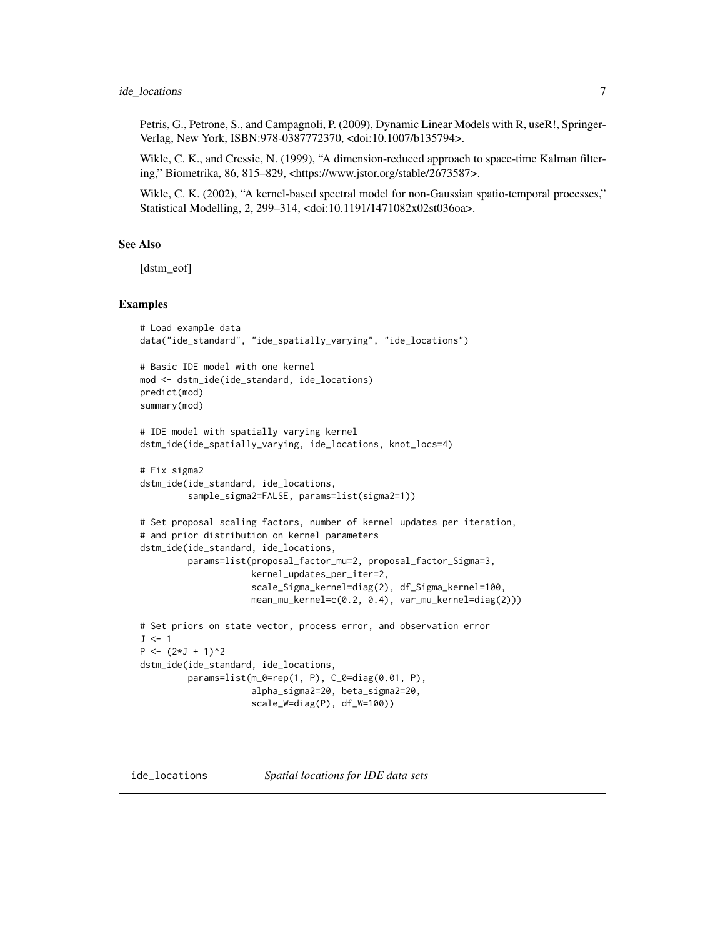#### <span id="page-6-0"></span>ide\_locations 7

Petris, G., Petrone, S., and Campagnoli, P. (2009), Dynamic Linear Models with R, useR!, Springer-Verlag, New York, ISBN:978-0387772370, <doi:10.1007/b135794>.

Wikle, C. K., and Cressie, N. (1999), "A dimension-reduced approach to space-time Kalman filtering," Biometrika, 86, 815–829, <https://www.jstor.org/stable/2673587>.

Wikle, C. K. (2002), "A kernel-based spectral model for non-Gaussian spatio-temporal processes," Statistical Modelling, 2, 299–314, <doi:10.1191/1471082x02st036oa>.

#### See Also

[dstm\_eof]

#### Examples

```
# Load example data
data("ide_standard", "ide_spatially_varying", "ide_locations")
# Basic IDE model with one kernel
mod <- dstm_ide(ide_standard, ide_locations)
predict(mod)
summary(mod)
# IDE model with spatially varying kernel
dstm_ide(ide_spatially_varying, ide_locations, knot_locs=4)
# Fix sigma2
dstm_ide(ide_standard, ide_locations,
         sample_sigma2=FALSE, params=list(sigma2=1))
# Set proposal scaling factors, number of kernel updates per iteration,
# and prior distribution on kernel parameters
dstm_ide(ide_standard, ide_locations,
         params=list(proposal_factor_mu=2, proposal_factor_Sigma=3,
                     kernel_updates_per_iter=2,
                     scale_Sigma_kernel=diag(2), df_Sigma_kernel=100,
                     mean_mu_kernel=c(0.2, 0.4), var_mu_kernel=diag(2)))
# Set priors on state vector, process error, and observation error
J \leftarrow 1P \leftarrow (2 \star J + 1)^2dstm_ide(ide_standard, ide_locations,
         params=list(m_0=rep(1, P), C_0=diag(0.01, P),
                     alpha_sigma2=20, beta_sigma2=20,
                     scale_W=diag(P), df_W=100))
```
ide\_locations *Spatial locations for IDE data sets*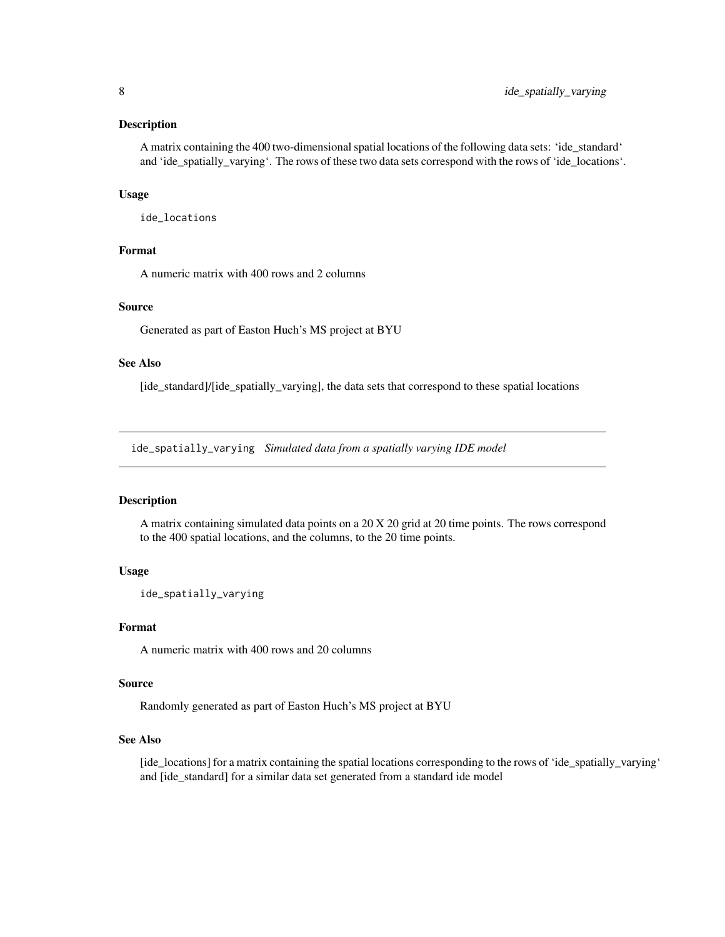#### <span id="page-7-0"></span>Description

A matrix containing the 400 two-dimensional spatial locations of the following data sets: 'ide\_standard' and 'ide\_spatially\_varying'. The rows of these two data sets correspond with the rows of 'ide\_locations'.

#### Usage

ide\_locations

## Format

A numeric matrix with 400 rows and 2 columns

## Source

Generated as part of Easton Huch's MS project at BYU

#### See Also

[ide\_standard]/[ide\_spatially\_varying], the data sets that correspond to these spatial locations

ide\_spatially\_varying *Simulated data from a spatially varying IDE model*

## Description

A matrix containing simulated data points on a 20 X 20 grid at 20 time points. The rows correspond to the 400 spatial locations, and the columns, to the 20 time points.

#### Usage

```
ide_spatially_varying
```
#### Format

A numeric matrix with 400 rows and 20 columns

#### Source

Randomly generated as part of Easton Huch's MS project at BYU

#### See Also

[ide\_locations] for a matrix containing the spatial locations corresponding to the rows of 'ide\_spatially\_varying' and [ide\_standard] for a similar data set generated from a standard ide model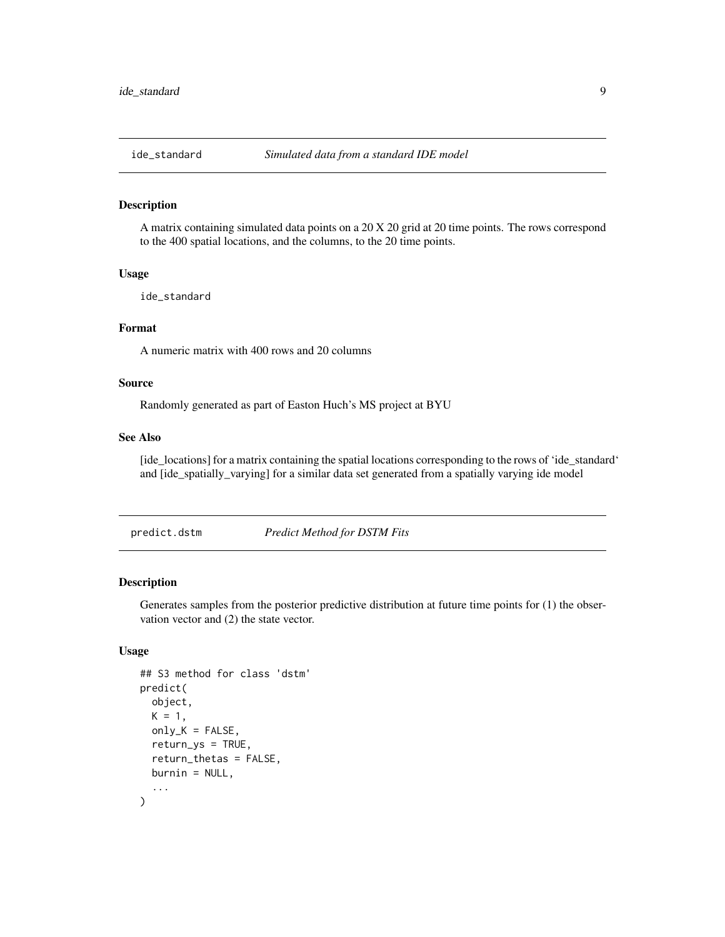<span id="page-8-0"></span>

#### Description

A matrix containing simulated data points on a 20 X 20 grid at 20 time points. The rows correspond to the 400 spatial locations, and the columns, to the 20 time points.

#### Usage

ide\_standard

#### Format

A numeric matrix with 400 rows and 20 columns

## Source

Randomly generated as part of Easton Huch's MS project at BYU

#### See Also

[ide\_locations] for a matrix containing the spatial locations corresponding to the rows of 'ide\_standard' and [ide\_spatially\_varying] for a similar data set generated from a spatially varying ide model

predict.dstm *Predict Method for DSTM Fits*

### Description

Generates samples from the posterior predictive distribution at future time points for (1) the observation vector and (2) the state vector.

## Usage

```
## S3 method for class 'dstm'
predict(
 object,
 K = 1,
 only_K = FALSE,
  return_ys = TRUE,
  return_thetas = FALSE,
 burnin = NULL,
  ...
)
```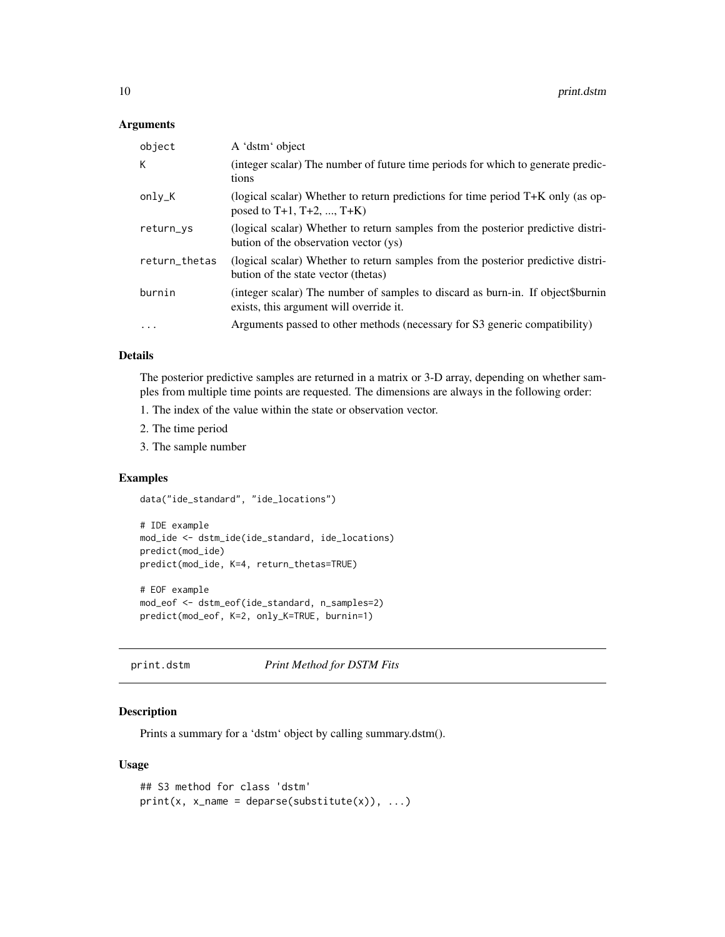#### <span id="page-9-0"></span>Arguments

| object        | A 'dstm' object                                                                                                            |
|---------------|----------------------------------------------------------------------------------------------------------------------------|
| К             | (integer scalar) The number of future time periods for which to generate predic-<br>tions                                  |
| only_K        | (logical scalar) Whether to return predictions for time period $T+K$ only (as op-<br>posed to $T+1$ , $T+2$ , , $T+K$ )    |
| return_ys     | (logical scalar) Whether to return samples from the posterior predictive distri-<br>bution of the observation vector (ys)  |
| return_thetas | (logical scalar) Whether to return samples from the posterior predictive distri-<br>bution of the state vector (thetas)    |
| burnin        | (integer scalar) The number of samples to discard as burn-in. If object\$burnin<br>exists, this argument will override it. |
| $\cdots$      | Arguments passed to other methods (necessary for S3 generic compatibility)                                                 |

#### Details

The posterior predictive samples are returned in a matrix or 3-D array, depending on whether samples from multiple time points are requested. The dimensions are always in the following order:

- 1. The index of the value within the state or observation vector.
- 2. The time period
- 3. The sample number

#### Examples

data("ide\_standard", "ide\_locations")

```
# IDE example
mod_ide <- dstm_ide(ide_standard, ide_locations)
predict(mod_ide)
predict(mod_ide, K=4, return_thetas=TRUE)
```

```
# EOF example
mod_eof <- dstm_eof(ide_standard, n_samples=2)
predict(mod_eof, K=2, only_K=TRUE, burnin=1)
```

```
print.dstm Print Method for DSTM Fits
```
#### Description

Prints a summary for a 'dstm' object by calling summary.dstm().

#### Usage

```
## S3 method for class 'dstm'
print(x, x_name = deparse(substitute(x)), ...)
```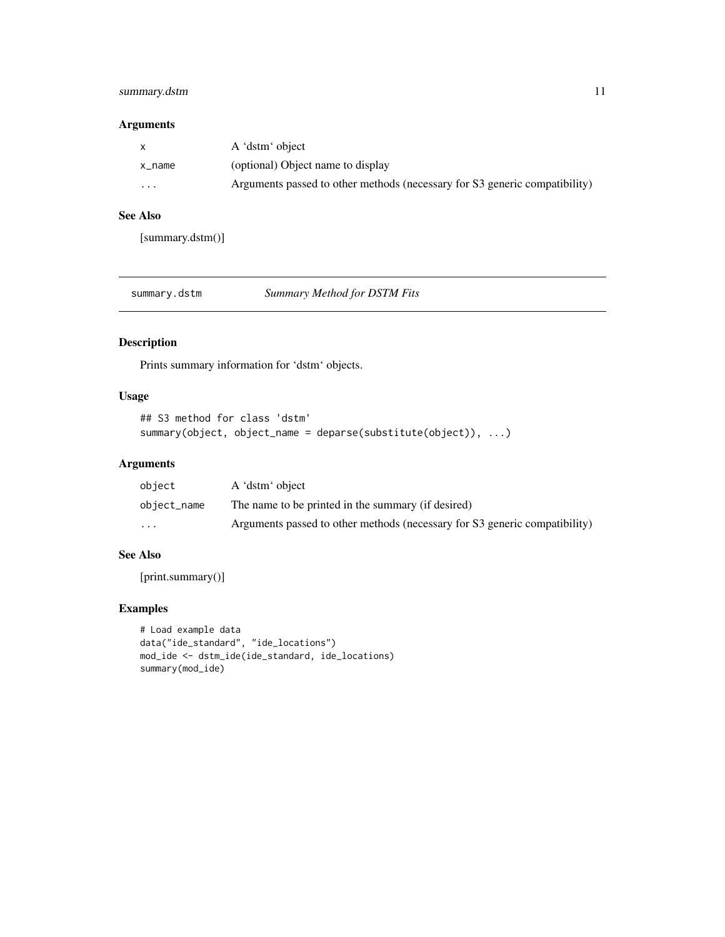## <span id="page-10-0"></span>summary.dstm 11

## Arguments

|          | A 'dstm' object                                                            |
|----------|----------------------------------------------------------------------------|
| x name   | (optional) Object name to display                                          |
| $\cdots$ | Arguments passed to other methods (necessary for S3 generic compatibility) |

## See Also

[summary.dstm()]

| summary.dstm |  |
|--------------|--|
|--------------|--|

Summary Method for DSTM Fits

## Description

Prints summary information for 'dstm' objects.

## Usage

```
## S3 method for class 'dstm'
summary(object, object_name = deparse(substitute(object)), ...)
```
#### Arguments

| obiect      | A 'dstm' object                                                            |
|-------------|----------------------------------------------------------------------------|
| object_name | The name to be printed in the summary (if desired)                         |
| $\cdot$     | Arguments passed to other methods (necessary for S3 generic compatibility) |

## See Also

[print.summary()]

## Examples

```
# Load example data
data("ide_standard", "ide_locations")
mod_ide <- dstm_ide(ide_standard, ide_locations)
summary(mod_ide)
```